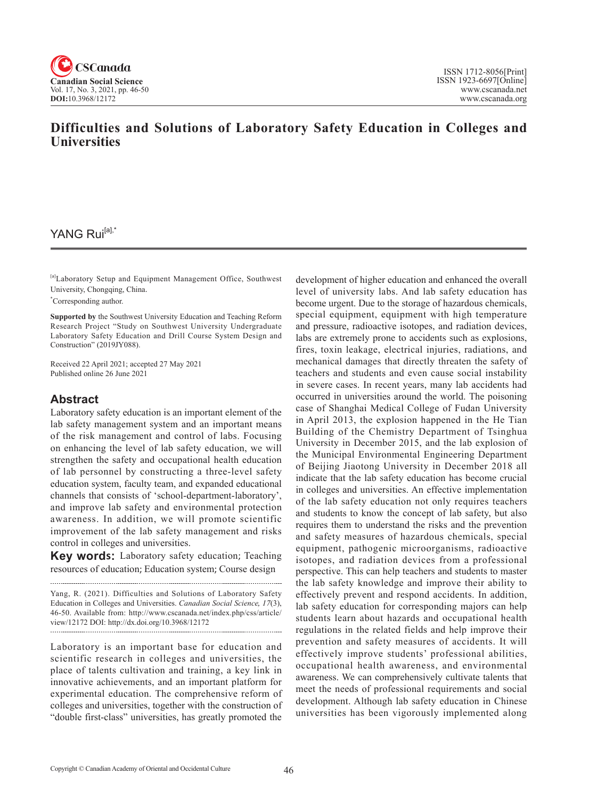

# **Difficulties and Solutions of Laboratory Safety Education in Colleges and Universities**

# YANG Rui<sup>[a],\*</sup>

[a]Laboratory Setup and Equipment Management Office, Southwest University, Chongqing, China.

\* Corresponding author.

**Supported by** the Southwest University Education and Teaching Reform Research Project "Study on Southwest University Undergraduate Laboratory Safety Education and Drill Course System Design and Construction" (2019JY088).

Received 22 April 2021; accepted 27 May 2021 Published online 26 June 2021

#### **Abstract**

Laboratory safety education is an important element of the lab safety management system and an important means of the risk management and control of labs. Focusing on enhancing the level of lab safety education, we will strengthen the safety and occupational health education of lab personnel by constructing a three-level safety education system, faculty team, and expanded educational channels that consists of 'school-department-laboratory', and improve lab safety and environmental protection awareness. In addition, we will promote scientific improvement of the lab safety management and risks control in colleges and universities.

**Key words:** Laboratory safety education; Teaching resources of education; Education system; Course design

Yang, R. (2021). Difficulties and Solutions of Laboratory Safety Education in Colleges and Universities. *Canadian Social Science*, <sup>17</sup>(3), 46-50. Available from: http://www.cscanada.net/index.php/css/article/ view/12172 DOI: http://dx.doi.org/10.3968/12172 

Laboratory is an important base for education and scientific research in colleges and universities, the place of talents cultivation and training, a key link in innovative achievements, and an important platform for experimental education. The comprehensive reform of colleges and universities, together with the construction of "double first-class" universities, has greatly promoted the

development of higher education and enhanced the overall level of university labs. And lab safety education has become urgent. Due to the storage of hazardous chemicals, special equipment, equipment with high temperature and pressure, radioactive isotopes, and radiation devices, labs are extremely prone to accidents such as explosions, fires, toxin leakage, electrical injuries, radiations, and mechanical damages that directly threaten the safety of teachers and students and even cause social instability in severe cases. In recent years, many lab accidents had occurred in universities around the world. The poisoning case of Shanghai Medical College of Fudan University in April 2013, the explosion happened in the He Tian Building of the Chemistry Department of Tsinghua University in December 2015, and the lab explosion of the Municipal Environmental Engineering Department of Beijing Jiaotong University in December 2018 all indicate that the lab safety education has become crucial in colleges and universities. An effective implementation of the lab safety education not only requires teachers and students to know the concept of lab safety, but also requires them to understand the risks and the prevention and safety measures of hazardous chemicals, special equipment, pathogenic microorganisms, radioactive isotopes, and radiation devices from a professional perspective. This can help teachers and students to master the lab safety knowledge and improve their ability to effectively prevent and respond accidents. In addition, lab safety education for corresponding majors can help students learn about hazards and occupational health regulations in the related fields and help improve their prevention and safety measures of accidents. It will effectively improve students' professional abilities, occupational health awareness, and environmental awareness. We can comprehensively cultivate talents that meet the needs of professional requirements and social development. Although lab safety education in Chinese universities has been vigorously implemented along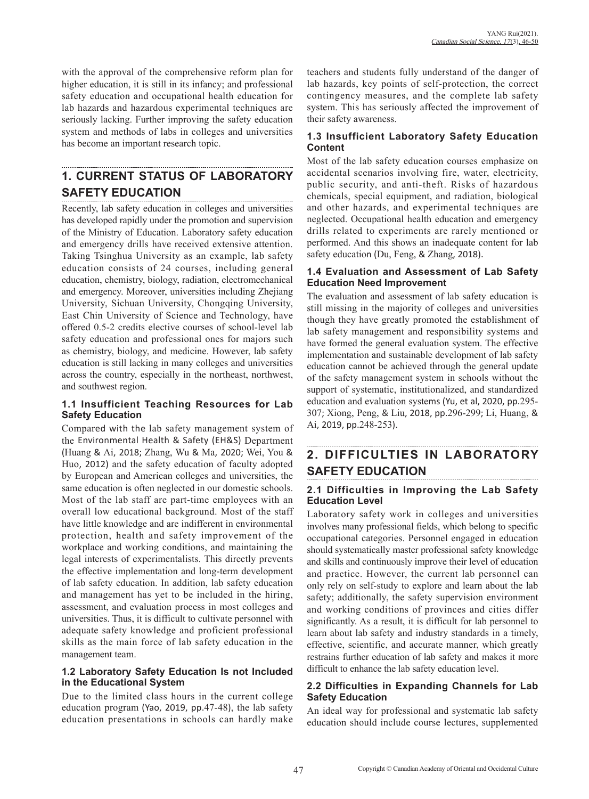with the approval of the comprehensive reform plan for higher education, it is still in its infancy; and professional safety education and occupational health education for lab hazards and hazardous experimental techniques are seriously lacking. Further improving the safety education system and methods of labs in colleges and universities has become an important research topic.

#### **1. CURRENT STATUS OF LABORATORY SAFETY EDUCATION**

Recently, lab safety education in colleges and universities has developed rapidly under the promotion and supervision of the Ministry of Education. Laboratory safety education and emergency drills have received extensive attention. Taking Tsinghua University as an example, lab safety education consists of 24 courses, including general education, chemistry, biology, radiation, electromechanical and emergency. Moreover, universities including Zhejiang University, Sichuan University, Chongqing University, East Chin University of Science and Technology, have offered 0.5-2 credits elective courses of school-level lab safety education and professional ones for majors such as chemistry, biology, and medicine. However, lab safety education is still lacking in many colleges and universities across the country, especially in the northeast, northwest, and southwest region.

#### **1.1 Insufficient Teaching Resources for Lab Safety Education**

Compared with the lab safety management system of the Environmental Health & Safety (EH&S) Department (Huang & Ai, 2018; Zhang, Wu & Ma, 2020; Wei, You & Huo, 2012) and the safety education of faculty adopted by European and American colleges and universities, the same education is often neglected in our domestic schools. Most of the lab staff are part-time employees with an overall low educational background. Most of the staff have little knowledge and are indifferent in environmental protection, health and safety improvement of the workplace and working conditions, and maintaining the legal interests of experimentalists. This directly prevents the effective implementation and long-term development of lab safety education. In addition, lab safety education and management has yet to be included in the hiring, assessment, and evaluation process in most colleges and universities. Thus, it is difficult to cultivate personnel with adequate safety knowledge and proficient professional skills as the main force of lab safety education in the management team.

#### **1.2 Laboratory Safety Education Is not Included in the Educational System**

Due to the limited class hours in the current college education program (Yao, 2019, pp.47-48), the lab safety education presentations in schools can hardly make

teachers and students fully understand of the danger of lab hazards, key points of self-protection, the correct contingency measures, and the complete lab safety system. This has seriously affected the improvement of their safety awareness.

## **1.3 Insufficient Laboratory Safety Education Content**

Most of the lab safety education courses emphasize on accidental scenarios involving fire, water, electricity, public security, and anti-theft. Risks of hazardous chemicals, special equipment, and radiation, biological and other hazards, and experimental techniques are neglected. Occupational health education and emergency drills related to experiments are rarely mentioned or performed. And this shows an inadequate content for lab safety education (Du, Feng, & Zhang, 2018).

## **1.4 Evaluation and Assessment of Lab Safety Education Need Improvement**

The evaluation and assessment of lab safety education is still missing in the majority of colleges and universities though they have greatly promoted the establishment of lab safety management and responsibility systems and have formed the general evaluation system. The effective implementation and sustainable development of lab safety education cannot be achieved through the general update of the safety management system in schools without the support of systematic, institutionalized, and standardized education and evaluation systems (Yu, et al, 2020, pp.295- 307; Xiong, Peng, & Liu, 2018, pp.296-299; Li, Huang, & Ai, 2019, pp.248-253).

# **2. DIFFICULTIES IN LABORATORY SAFETY EDUCATION**

## **2.1 Difficulties in Improving the Lab Safety Education Level**

Laboratory safety work in colleges and universities involves many professional fields, which belong to specific occupational categories. Personnel engaged in education should systematically master professional safety knowledge and skills and continuously improve their level of education and practice. However, the current lab personnel can only rely on self-study to explore and learn about the lab safety; additionally, the safety supervision environment and working conditions of provinces and cities differ significantly. As a result, it is difficult for lab personnel to learn about lab safety and industry standards in a timely, effective, scientific, and accurate manner, which greatly restrains further education of lab safety and makes it more difficult to enhance the lab safety education level.

#### **2.2 Difficulties in Expanding Channels for Lab Safety Education**

An ideal way for professional and systematic lab safety education should include course lectures, supplemented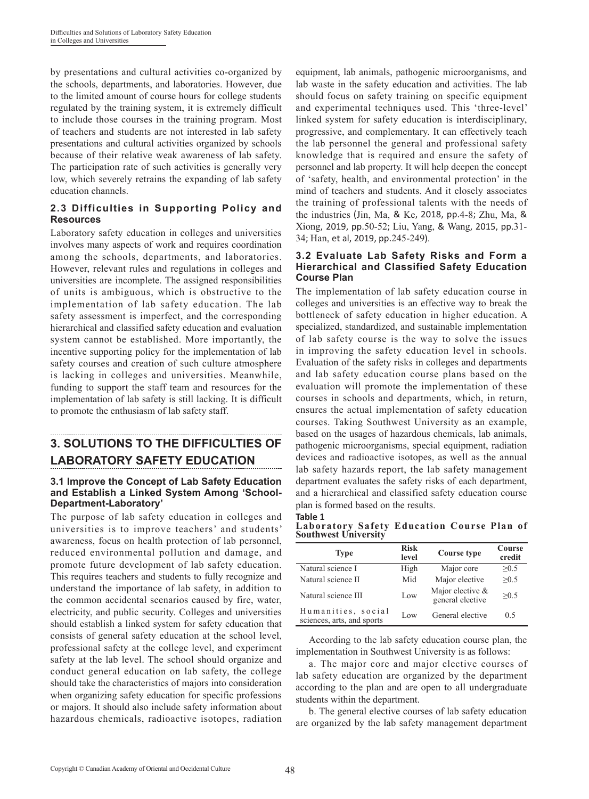by presentations and cultural activities co-organized by the schools, departments, and laboratories. However, due to the limited amount of course hours for college students regulated by the training system, it is extremely difficult to include those courses in the training program. Most of teachers and students are not interested in lab safety presentations and cultural activities organized by schools because of their relative weak awareness of lab safety. The participation rate of such activities is generally very low, which severely retrains the expanding of lab safety education channels.

## **2.3 Difficulties in Supporting Policy and Resources**

Laboratory safety education in colleges and universities involves many aspects of work and requires coordination among the schools, departments, and laboratories. However, relevant rules and regulations in colleges and universities are incomplete. The assigned responsibilities of units is ambiguous, which is obstructive to the implementation of lab safety education. The lab safety assessment is imperfect, and the corresponding hierarchical and classified safety education and evaluation system cannot be established. More importantly, the incentive supporting policy for the implementation of lab safety courses and creation of such culture atmosphere is lacking in colleges and universities. Meanwhile, funding to support the staff team and resources for the implementation of lab safety is still lacking. It is difficult to promote the enthusiasm of lab safety staff.

# **3. SOLUTIONS TO THE DIFFICULTIES OF LABORATORY SAFETY EDUCATION**

#### **3.1 Improve the Concept of Lab Safety Education and Establish a Linked System Among 'School-Department-Laboratory'**

The purpose of lab safety education in colleges and universities is to improve teachers' and students' awareness, focus on health protection of lab personnel, reduced environmental pollution and damage, and promote future development of lab safety education. This requires teachers and students to fully recognize and understand the importance of lab safety, in addition to the common accidental scenarios caused by fire, water, electricity, and public security. Colleges and universities should establish a linked system for safety education that consists of general safety education at the school level, professional safety at the college level, and experiment safety at the lab level. The school should organize and conduct general education on lab safety, the college should take the characteristics of majors into consideration when organizing safety education for specific professions or majors. It should also include safety information about hazardous chemicals, radioactive isotopes, radiation

equipment, lab animals, pathogenic microorganisms, and lab waste in the safety education and activities. The lab should focus on safety training on specific equipment and experimental techniques used. This 'three-level' linked system for safety education is interdisciplinary, progressive, and complementary. It can effectively teach the lab personnel the general and professional safety knowledge that is required and ensure the safety of personnel and lab property. It will help deepen the concept of 'safety, health, and environmental protection' in the mind of teachers and students. And it closely associates the training of professional talents with the needs of the industries (Jin, Ma, & Ke, 2018, pp.4-8; Zhu, Ma, & Xiong, 2019, pp.50-52; Liu, Yang, & Wang, 2015, pp.31- 34; Han, et al, 2019, pp.245-249).

#### **3.2 Evaluate Lab Safety Risks and Form a Hierarchical and Classified Safety Education Course Plan**

The implementation of lab safety education course in colleges and universities is an effective way to break the bottleneck of safety education in higher education. A specialized, standardized, and sustainable implementation of lab safety course is the way to solve the issues in improving the safety education level in schools. Evaluation of the safety risks in colleges and departments and lab safety education course plans based on the evaluation will promote the implementation of these courses in schools and departments, which, in return, ensures the actual implementation of safety education courses. Taking Southwest University as an example, based on the usages of hazardous chemicals, lab animals, pathogenic microorganisms, special equipment, radiation devices and radioactive isotopes, as well as the annual lab safety hazards report, the lab safety management department evaluates the safety risks of each department, and a hierarchical and classified safety education course plan is formed based on the results. **Table 1**

**Laboratory Safety Education Course Plan of Southwest University** 

| <b>Type</b>                                      | <b>Risk</b><br>level | Course type                          | Course<br>credit |
|--------------------------------------------------|----------------------|--------------------------------------|------------------|
| Natural science I                                | High                 | Major core                           | >0.5             |
| Natural science II                               | Mid                  | Major elective                       | >0.5             |
| Natural science III                              | Low                  | Major elective &<br>general elective | >0.5             |
| Humanities, social<br>sciences, arts, and sports | Low                  | General elective                     | 0.5              |

According to the lab safety education course plan, the implementation in Southwest University is as follows:

a. The major core and major elective courses of lab safety education are organized by the department according to the plan and are open to all undergraduate students within the department.

b. The general elective courses of lab safety education are organized by the lab safety management department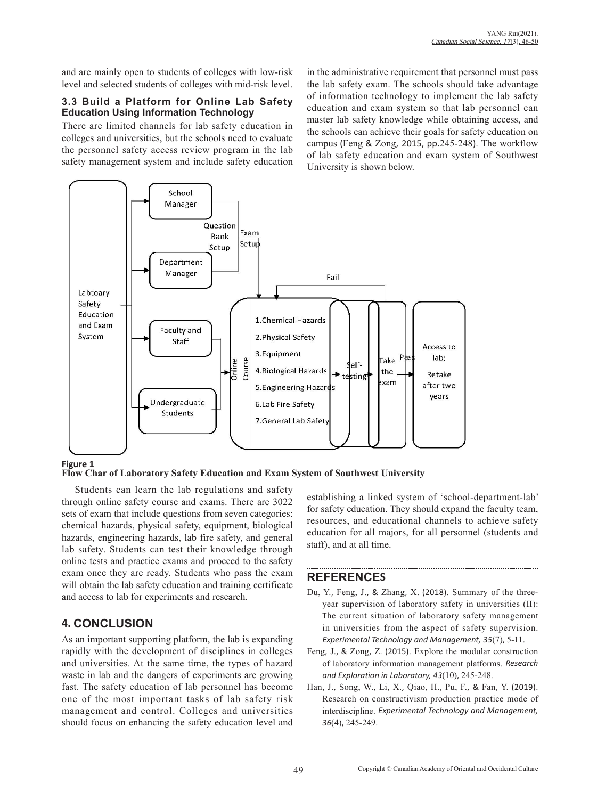and are mainly open to students of colleges with low-risk level and selected students of colleges with mid-risk level.

#### **3.3 Build a Platform for Online Lab Safety Education Using Information Technology**

There are limited channels for lab safety education in colleges and universities, but the schools need to evaluate the personnel safety access review program in the lab safety management system and include safety education in the administrative requirement that personnel must pass the lab safety exam. The schools should take advantage of information technology to implement the lab safety education and exam system so that lab personnel can master lab safety knowledge while obtaining access, and the schools can achieve their goals for safety education on campus (Feng & Zong, 2015, pp.245-248). The workflow of lab safety education and exam system of Southwest University is shown below.



#### **Figure 1**

**Flow Char of Laboratory Safety Education and Exam System of Southwest University**

Students can learn the lab regulations and safety through online safety course and exams. There are 3022 sets of exam that include questions from seven categories: chemical hazards, physical safety, equipment, biological hazards, engineering hazards, lab fire safety, and general lab safety. Students can test their knowledge through online tests and practice exams and proceed to the safety exam once they are ready. Students who pass the exam will obtain the lab safety education and training certificate and access to lab for experiments and research.

# **4. CONCLUSION**

As an important supporting platform, the lab is expanding rapidly with the development of disciplines in colleges and universities. At the same time, the types of hazard waste in lab and the dangers of experiments are growing fast. The safety education of lab personnel has become one of the most important tasks of lab safety risk management and control. Colleges and universities should focus on enhancing the safety education level and establishing a linked system of 'school-department-lab' for safety education. They should expand the faculty team, resources, and educational channels to achieve safety education for all majors, for all personnel (students and staff), and at all time.

## **REFERENCES**

Du, Y., Feng, J., & Zhang, X. (2018). Summary of the threeyear supervision of laboratory safety in universities (II): The current situation of laboratory safety management in universities from the aspect of safety supervision. *Experimental Technology and Management, 35*(7), 5-11.

- Feng, J., & Zong, Z. (2015). Explore the modular construction of laboratory information management platforms. *Research and Exploration in Laboratory, 43*(10), 245-248.
- Han, J., Song, W., Li, X., Qiao, H., Pu, F., & Fan, Y. (2019). Research on constructivism production practice mode of interdiscipline. *Experimental Technology and Management, 36*(4), 245-249.